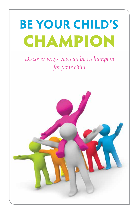# **BE YOUR CHILD'S** CHAMPION

*Discover ways you can be a champion for your child*

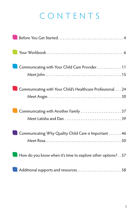## CONTENTS

| Communicating with Your Child Care Provider 11              |
|-------------------------------------------------------------|
| Communicating with Your Child's Healthcare Professional 24  |
| Communicating with Another Family  37                       |
| Communicating Why Quality Child Care is Important  46       |
| How do you know when it's time to explore other options? 57 |
| Additional supports and resources 58                        |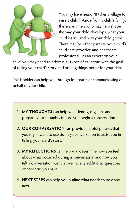

You may have heard "It takes a village to raise a child". Aside from a child's family, there are others who may help shape the way your child develops, what your child learns, and how your child grows. There may be other parents, your child's child care provider, and healthcare professional. As an expert on your

child, you may need to address all types of situations with the goal of telling your child's story and making things better for your child.

This booklet can help you through four parts of communicating on behalf of your child.

- 1. **MY THOUGHTS** can help you identify, organize and prepare your thoughts before you begin a conversation.
- 2. **OUR CONVERSATION** can provide helpful phrases that you might want to use during a conversation to assist you in telling your child's story.
- 3. **MY REFLECTIONS** can help you determine how you feel about what occurred during a conversation and how you felt a conversation went, as well as any additional questions or concerns you have.
- 4. **NEXT STEPS** can help you outline what needs to be done next.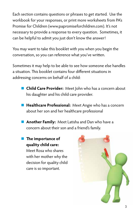Each section contains questions or phrases to get started. Use the workbook for your responses, or print more worksheets from PA's Promise for Children (www.papromiseforchildren.com). It's not necessary to provide a response to every question. Sometimes, it can be helpful to admit you just don't know the answer!

You may want to take this booklet with you when you begin the conversation, so you can reference what you've written.

Sometimes it may help to be able to see how someone else handles a situation. This booklet contains four different situations in addressing concerns on behalf of a child:

- **n Child Care Provider:** Meet John who has a concern about his daughter and his child care provider.
- **E** Healthcare Professional: Meet Angie who has a concern about her son and her healthcare professional
- **Another Family:** Meet Latisha and Dan who have a concern about their son and a friend's family.
- **n I**ne importance of **quality child care:**

Meet Rosa who shares with her mother why the decision for quality child care is so important.

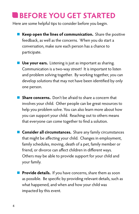## **BEFORE YOU GET STARTED**

Here are some helpful tips to consider before you begin.

- **n** Keep open the lines of communication. Share the positive feedback, as well as the concerns. When you do start a conversation, make sure each person has a chance to participate.
- **Nice your ears.** Listening is just as important as sharing. Communication is a two-way street! It is important to listen and problem solving together. By working together, you can develop solutions that may not have been identified by only one person.
- **n** Share concerns. Don't be afraid to share a concern that involves your child. Other people can be great resources to help you problem solve. You can also learn more about how you can support your child. Reaching out to others means that everyone can come together to find a solution.
- **n** Consider all circumstances. Share any family circumstances that might be affecting your child. Changes in employment, family schedules, moving, death of a pet, family member or friend, or divorce can affect children in different ways. Others may be able to provide support for your child and your family.
- **Provide details.** If you have concerns, share them as soon as possible. Be specific by providing relevant details, such as what happened, and when and how your child was impacted by this event.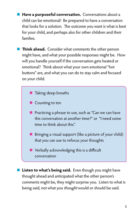**Have a purposeful conversation.** Conversations about a child can be emotional! Be prepared to have a conversation that looks for a solution. The outcome you want is what is best for your child, and perhaps also for other children and their families.

- **Think ahead.** Consider what comments the other person might have, and what your possible responses might be. How will you handle yourself if the conversation gets heated or emotional? Think about what your own emotional "hot buttons" are, and what you can do to stay calm and focused on your child.
	- **n** Taking deep breaths
	- **n** Counting to ten
	- **n** Practicing a phrase to use, such as "Can we can have this conversation at another time?" or "I need some time to think about this."
	- **•** Bringing a visual support (like a picture of your child) that you can use to refocus your thoughts
	- **n** Verbally acknowledging this is a difficult conversation
- **n** Listen to what's being said. Even though you might have thought ahead and anticipated what the other person's comments might be, they might surprise you. Listen to what is being said, not what you thought would or should be said.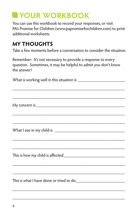## **YOUR WORKBOOK**

You can use this workbook to record your responses, or visit PA's Promise for Children (www.papromiseforchildren.com) to print additional worksheets.

## **MY THOUGHTS**

Take a few moments before a conversation to consider the situation.

Remember: It's not necessary to provide a response to every question. Sometimes, it may be helpful to admit you don't know the answer!

What is working well in this situation is \_\_\_\_\_\_\_\_\_\_\_\_\_\_\_\_\_\_\_\_

\_\_\_\_\_\_\_\_\_\_\_\_\_\_\_\_\_\_\_\_\_\_\_\_\_\_\_\_\_\_\_\_\_\_\_\_\_\_\_\_\_\_\_\_\_\_\_\_

\_\_\_\_\_\_\_\_\_\_\_\_\_\_\_\_\_\_\_\_\_\_\_\_\_\_\_\_\_\_\_\_\_\_\_\_\_\_\_\_\_\_\_\_\_\_\_\_

\_\_\_\_\_\_\_\_\_\_\_\_\_\_\_\_\_\_\_\_\_\_\_\_\_\_\_\_\_\_\_\_\_\_\_\_\_\_\_\_\_\_\_\_\_\_\_\_

My concern is\_\_\_\_\_\_\_\_\_\_\_\_\_\_\_\_\_\_\_\_\_\_\_\_\_\_\_\_\_\_\_\_\_\_\_\_\_\_

\_\_\_\_\_\_\_\_\_\_\_\_\_\_\_\_\_\_\_\_\_\_\_\_\_\_\_\_\_\_\_\_\_\_\_\_\_\_\_\_\_\_\_\_\_\_\_\_ What I see in my child is \_\_\_\_\_\_\_\_\_\_\_\_\_\_\_\_\_\_\_\_\_\_\_\_\_\_\_\_\_\_

This is how my child is affected **Example 20** 

\_\_\_\_\_\_\_\_\_\_\_\_\_\_\_\_\_\_\_\_\_\_\_\_\_\_\_\_\_\_\_\_\_\_\_\_\_\_\_\_\_\_\_\_\_\_\_\_

\_\_\_\_\_\_\_\_\_\_\_\_\_\_\_\_\_\_\_\_\_\_\_\_\_\_\_\_\_\_\_\_\_\_\_\_\_\_\_\_\_\_\_\_\_\_\_\_

\_\_\_\_\_\_\_\_\_\_\_\_\_\_\_\_\_\_\_\_\_\_\_\_\_\_\_\_\_\_\_\_\_\_\_\_\_\_\_\_\_\_\_\_\_\_\_\_

\_\_\_\_\_\_\_\_\_\_\_\_\_\_\_\_\_\_\_\_\_\_\_\_\_\_\_\_\_\_\_\_\_\_\_\_\_\_\_\_\_\_\_\_\_\_\_\_

\_\_\_\_\_\_\_\_\_\_\_\_\_\_\_\_\_\_\_\_\_\_\_\_\_\_\_\_\_\_\_\_\_\_\_\_\_\_\_\_\_\_\_\_\_\_\_\_

\_\_\_\_\_\_\_\_\_\_\_\_\_\_\_\_\_\_\_\_\_\_\_\_\_\_\_\_\_\_\_\_\_\_\_\_\_\_\_\_\_\_\_\_\_\_\_\_

This is what I have done or tried to do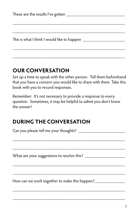| These are the results I've gotten _____     |
|---------------------------------------------|
|                                             |
|                                             |
|                                             |
| This is what I think I would like to happen |
|                                             |

## **OUR CONVERSATION**

Set up a time to speak with the other person. Tell them beforehand that you have a concern you would like to share with them. Take this book with you to record responses.

\_\_\_\_\_\_\_\_\_\_\_\_\_\_\_\_\_\_\_\_\_\_\_\_\_\_\_\_\_\_\_\_\_\_\_\_\_\_\_\_\_\_\_\_\_\_\_\_

Remember: It's not necessary to provide a response to every question. Sometimes, it may be helpful to admit you don't know the answer!

## **DURING THE CONVERSATION**

Can you please tell me your thoughts?

\_\_\_\_\_\_\_\_\_\_\_\_\_\_\_\_\_\_\_\_\_\_\_\_\_\_\_\_\_\_\_\_\_\_\_\_\_\_\_\_\_\_\_\_\_\_\_\_

\_\_\_\_\_\_\_\_\_\_\_\_\_\_\_\_\_\_\_\_\_\_\_\_\_\_\_\_\_\_\_\_\_\_\_\_\_\_\_\_\_\_\_\_\_\_\_\_

\_\_\_\_\_\_\_\_\_\_\_\_\_\_\_\_\_\_\_\_\_\_\_\_\_\_\_\_\_\_\_\_\_\_\_\_\_\_\_\_\_\_\_\_\_\_\_\_

\_\_\_\_\_\_\_\_\_\_\_\_\_\_\_\_\_\_\_\_\_\_\_\_\_\_\_\_\_\_\_\_\_\_\_\_\_\_\_\_\_\_\_\_\_\_\_\_

\_\_\_\_\_\_\_\_\_\_\_\_\_\_\_\_\_\_\_\_\_\_\_\_\_\_\_\_\_\_\_\_\_\_\_\_\_\_\_\_\_\_\_\_\_\_\_\_

\_\_\_\_\_\_\_\_\_\_\_\_\_\_\_\_\_\_\_\_\_\_\_\_\_\_\_\_\_\_\_\_\_\_\_\_\_\_\_\_\_\_\_\_\_\_\_\_

What are your suggestions to resolve this? \_\_\_\_\_\_\_\_\_\_\_\_\_\_\_\_\_

How can we work together to make this happen?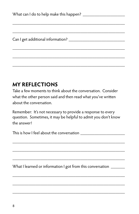\_\_\_\_\_\_\_\_\_\_\_\_\_\_\_\_\_\_\_\_\_\_\_\_\_\_\_\_\_\_\_\_\_\_\_\_\_\_\_\_\_\_\_\_\_\_\_\_

## **MY REFLECTIONS**

Take a few moments to think about the conversation. Consider what the other person said and then read what you've written about the conversation.

Remember: It's not necessary to provide a response to every question. Sometimes, it may be helpful to admit you don't know the answer!

\_\_\_\_\_\_\_\_\_\_\_\_\_\_\_\_\_\_\_\_\_\_\_\_\_\_\_\_\_\_\_\_\_\_\_\_\_\_\_\_\_\_\_\_\_\_\_\_

\_\_\_\_\_\_\_\_\_\_\_\_\_\_\_\_\_\_\_\_\_\_\_\_\_\_\_\_\_\_\_\_\_\_\_\_\_\_\_\_\_\_\_\_\_\_\_\_

\_\_\_\_\_\_\_\_\_\_\_\_\_\_\_\_\_\_\_\_\_\_\_\_\_\_\_\_\_\_\_\_\_\_\_\_\_\_\_\_\_\_\_\_\_\_\_\_

\_\_\_\_\_\_\_\_\_\_\_\_\_\_\_\_\_\_\_\_\_\_\_\_\_\_\_\_\_\_\_\_\_\_\_\_\_\_\_\_\_\_\_\_\_\_\_\_

\_\_\_\_\_\_\_\_\_\_\_\_\_\_\_\_\_\_\_\_\_\_\_\_\_\_\_\_\_\_\_\_\_\_\_\_\_\_\_\_\_\_\_\_\_\_\_\_

\_\_\_\_\_\_\_\_\_\_\_\_\_\_\_\_\_\_\_\_\_\_\_\_\_\_\_\_\_\_\_\_\_\_\_\_\_\_\_\_\_\_\_\_\_\_\_\_

This is how I feel about the conversation \_\_\_\_\_\_\_\_\_\_\_\_\_\_\_\_\_\_\_

What I learned or information I got from this conversation \_\_\_\_\_\_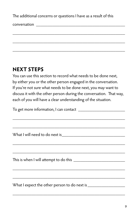The additional concerns or questions I have as a result of this

\_\_\_\_\_\_\_\_\_\_\_\_\_\_\_\_\_\_\_\_\_\_\_\_\_\_\_\_\_\_\_\_\_\_\_\_\_\_\_\_\_\_\_\_\_\_\_\_

\_\_\_\_\_\_\_\_\_\_\_\_\_\_\_\_\_\_\_\_\_\_\_\_\_\_\_\_\_\_\_\_\_\_\_\_\_\_\_\_\_\_\_\_\_\_\_\_

\_\_\_\_\_\_\_\_\_\_\_\_\_\_\_\_\_\_\_\_\_\_\_\_\_\_\_\_\_\_\_\_\_\_\_\_\_\_\_\_\_\_\_\_\_\_\_\_

conversation **and the set of the set of the set of the set of the set of the set of the set of the set of the set of the set of the set of the set of the set of the set of the set of the set of the set of the set of the se** 

## **NEXT STEPS**

You can use this section to record what needs to be done next, by either you or the other person engaged in the conversation. If you're not sure what needs to be done next, you may want to discuss it with the other person during the conversation. That way, each of you will have a clear understanding of the situation.

To get more information, I can contact \_\_\_\_\_\_\_\_\_\_\_\_\_\_\_\_\_\_\_\_ \_\_\_\_\_\_\_\_\_\_\_\_\_\_\_\_\_\_\_\_\_\_\_\_\_\_\_\_\_\_\_\_\_\_\_\_\_\_\_\_\_\_\_\_\_\_\_\_ \_\_\_\_\_\_\_\_\_\_\_\_\_\_\_\_\_\_\_\_\_\_\_\_\_\_\_\_\_\_\_\_\_\_\_\_\_\_\_\_\_\_\_\_\_\_\_\_ What I will need to do next is\_\_\_\_\_\_\_\_\_\_\_\_\_\_\_\_\_\_\_\_\_\_\_\_\_\_\_ \_\_\_\_\_\_\_\_\_\_\_\_\_\_\_\_\_\_\_\_\_\_\_\_\_\_\_\_\_\_\_\_\_\_\_\_\_\_\_\_\_\_\_\_\_\_\_\_ \_\_\_\_\_\_\_\_\_\_\_\_\_\_\_\_\_\_\_\_\_\_\_\_\_\_\_\_\_\_\_\_\_\_\_\_\_\_\_\_\_\_\_\_\_\_\_\_ This is when I will attempt to do this \_\_\_\_\_\_\_\_\_\_\_\_\_\_\_\_\_\_\_\_\_\_ \_\_\_\_\_\_\_\_\_\_\_\_\_\_\_\_\_\_\_\_\_\_\_\_\_\_\_\_\_\_\_\_\_\_\_\_\_\_\_\_\_\_\_\_\_\_\_\_ \_\_\_\_\_\_\_\_\_\_\_\_\_\_\_\_\_\_\_\_\_\_\_\_\_\_\_\_\_\_\_\_\_\_\_\_\_\_\_\_\_\_\_\_\_\_\_\_ What I expect the other person to do next is \_\_\_\_\_\_\_\_\_\_\_\_\_\_\_\_

\_\_\_\_\_\_\_\_\_\_\_\_\_\_\_\_\_\_\_\_\_\_\_\_\_\_\_\_\_\_\_\_\_\_\_\_\_\_\_\_\_\_\_\_\_\_\_\_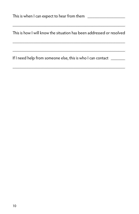This is how I will know the situation has been addressed or resolved

\_\_\_\_\_\_\_\_\_\_\_\_\_\_\_\_\_\_\_\_\_\_\_\_\_\_\_\_\_\_\_\_\_\_\_\_\_\_\_\_\_\_\_\_\_\_\_\_

\_\_\_\_\_\_\_\_\_\_\_\_\_\_\_\_\_\_\_\_\_\_\_\_\_\_\_\_\_\_\_\_\_\_\_\_\_\_\_\_\_\_\_\_\_\_\_\_

\_\_\_\_\_\_\_\_\_\_\_\_\_\_\_\_\_\_\_\_\_\_\_\_\_\_\_\_\_\_\_\_\_\_\_\_\_\_\_\_\_\_\_\_\_\_\_\_

\_\_\_\_\_\_\_\_\_\_\_\_\_\_\_\_\_\_\_\_\_\_\_\_\_\_\_\_\_\_\_\_\_\_\_\_\_\_\_\_\_\_\_\_\_\_\_\_

If I need help from someone else, this is who I can contact \_\_\_\_\_\_\_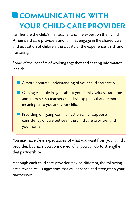## **COMMUNICATING WITH YOUR CHILD CARE PROVIDER**

Families are the child's first teacher and the expert on their child. When child care providers and families engage in the shared care and education of children, the quality of the experience is rich and nurturing.

Some of the benefits of working together and sharing information include:

A more accurate understanding of your child and family.

- **n** Gaining valuable insights about your family values, traditions and interests, so teachers can develop plans that are more meaningful to you and your child.
- **n** Providing on-going communication which supports consistency of care between the child care provider and your home.

You may have clear expectations of what you want from your child's provider, but have you considered what you can do to strengthen that partnership?

Although each child care provider may be different, the following are a few helpful suggestions that will enhance and strengthen your partnership.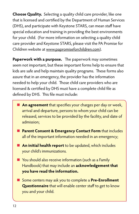**Choose Quality.** Selecting a quality child care provider, like one that is licensed and certified by the Department of Human Services (DHS), and participate with Keystone STARS, can mean staff have special education and training in providing the best environments for your child. (For more information on selecting a quality child care provider and Keystone STARS, please visit the PA Promise for Children website at www.papromiseforchildren.com).

**Paperwork with a purpose.** The paperwork may sometimes seem not important, but these important forms help to ensure that kids are safe and help maintain quality programs. These forms also assure that in an emergency, the provider has the information needed to help your child. Those child care providers who are licensed & certified by DHS must have a complete child file as defined by DHS. This file must include:

- **An agreement** that specifies your charges per day or week, arrival and departure, persons to whom your child can be released, services to be provided by the facility, and date of admission;
- **n** Parent Consent & Emergency Contact Form that includes all of the important information needed in an emergency;
- **n** An initial health report to be updated, which includes your child's immunizations.
- $\blacksquare$  You should also receive information (such as a Family Handbook) that may include an **acknowledgement that you have read the information.**
- Some centers may ask you to complete a **Pre-Enrollment Questionnaire** that will enable center staff to get to know you and your child.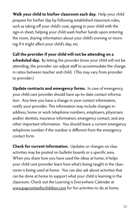**Walk your child to his/her classroom each day.** Help your child prepare for his/her day by following established classroom rules, such as taking off your child's coat, signing in your child with the sign-in sheet, helping your child wash his/her hands upon entering the room, sharing information about your child's evening or morning if it might affect your child's day, etc.

**Call the provider if your child will not be attending on a scheduled day.** By letting the provider know your child will not be attending, the provider can adjust staff to accommodate the change in ratios between teacher and child. (This may vary from provider to provider.)

**Update contracts and emergency forms.** In case of emergency, your child care provider should have up-to-date contact information. Any time you have a change in your contact information, notify your provider. This information may include changes in: address, home or work telephone numbers, employers, physicians and/or dentists, insurance information, emergency contact, and any other important information. You should leave a current emergency telephone number if the number is different from the emergency contact form.

**Check for current information.** Updates or changes on class activities may be posted on bulletin boards or a specific area. When you share how you have used the ideas at home, it helps your child care provider learn how what's being taught in the classroom is being used at home. You can also ask about activities that can be done at home to support what your child is learning in the classroom. Check out the Learning is Everywhere Calendar at www.papromiseforchildren.com for fun activities to do at home.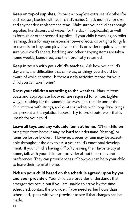**Keep on top of supplies.** Provide a complete extra set of clothes for each season, labeled with your child's name. Check monthly for size and any needed replacement items. Make sure your child has enough supplies, like diapers and wipes, for the day (if applicable), as well as formula or other needed supplies. If your child is working on toilet learning, dress for easy independence—no leotards or tights for girls, or overalls for boys and girls. If your child's provider requires it, make sure your child's sheets, bedding and other napping items are taken home weekly, laundered, and then promptly returned.

**Keep in touch with your child's teacher.** Ask how your child's day went, any difficulties that came up, or things you should be aware of while at home. Is there a daily activities record for your child you can take home?

**Dress your children according to the weather.** Hats, mittens, coats and appropriate footwear are required for winter. Lighter weight clothing for the summer. Scarves, hats that tie under the chin, mittens with strings, and coats or jackets with long drawstrings can present a strangulation hazard. Try to avoid outerwear that is unsafe for your child.

**Leave all toys and any valuable items at home.** When children bring toys from home it may be hard to understand "sharing," or items be lost or broken. However, a security item may be acceptable throughout the day to assist your child's emotional development. If your child is having difficulty leaving their favorite toy at home, talk with your child care provider about their rules and preferences. They can provide ideas of how you can help your child to leave their items at home.

**Pick up your child based on the schedule agreed upon by you and your provider.** Your child care provider understands that emergencies occur, but if you are unable to arrive by the time scheduled, contact the provider. If you need earlier hours than scheduled, speak with your provider to see if that changes can be made.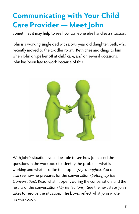## **Communicating with Your Child Care Provider — Meet John**

Sometimes it may help to see how someone else handles a situation.

John is a working single dad with a two year old daughter, Beth, who recently moved to the toddler room. Beth cries and clings to him when John drops her off at child care, and on several occasions, John has been late to work because of this.



With John's situation, you'll be able to see how John used the questions in the workbook to identify the problem, what is working and what he'd like to happen (My Thoughts). You can also see how he prepares for the conversation (Setting up the Conversation). Read what happens during the conversation, and the results of the conversation (My Reflections). See the next steps John takes to resolve the situation. The boxes reflect what John wrote in his workbook.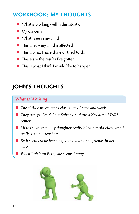### **WORKBOOK: MY THOUGHTS**

- $\blacksquare$  What is working well in this situation
- $\blacksquare$  My concern
- **No. 3** What I see in my child
- $\blacksquare$  This is how my child is affected
- n This is what I have done or tried to do
- $\blacksquare$  These are the results I've gotten
- $\blacksquare$  This is what I think I would like to happen

## **JOHN'S THOUGHTS**

### *What is Working*

- The child care center is close to my house and work.
- *They accept Child Care Subsidy and are a Keystone STARS center.*
- *I like the director, my daughter really liked her old class, and I really like her teachers.*
- Beth seems to be learning so much and has friends in her *class.*
	- *When I pick up Beth, she seems happy.*

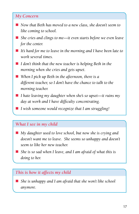#### *My Concern*

- *Now that Beth has moved to a new class, she doesn't seem to like coming to school.*
- She cries and clings to me—it even starts before we even leave *for the center.*
- It's hard for me to leave in the morning and I have been late to *work several times.*
- *I don't think that the new teacher is helping Beth in the morning when she cries and gets upset.*
- When I pick up Beth in the afternoon, there is a *different teacher, so I don't have the chance to talk to the morning teacher.*
- *I hate leaving my daughter when she's so upset—it ruins my day at work and I have difficulty concentrating.*
- *I* wish someone would recognize that I am struggling!

#### *What I see in my child*

- My daughter used to love school, but now she is crying and *doesn't want me to leave. She seems so unhappy and doesn't seem to like her new teacher.*
- *She is so sad when I leave, and I am afraid of what this is doing to her.*

#### *This is how it affects my child*

■ *She is unhappy and I am afraid that she won't like school anymore.*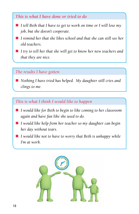### *This is what I have done or tried to do*

- *I tell Beth that I have to get to work on time or I will lose my job, but she doesn't cooperate.*
- *I remind her that she likes school and that she can still see her old teachers.*
- *I try to tell her that she will get to know her new teachers and that they are nice.*

### *The results I have gotten*

■ *Nothing I have tried has helped. My daughter still cries and clings to me.*

### *This is what I think I would like to happen*

- *I would like for Beth to begin to like coming to her classroom again and have fun like she used to do.*
- *I would like help from her teacher so my daughter can begin her day without tears.*
- *I would like not to have to worry that Beth is unhappy while I'm at work.*

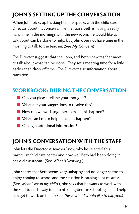## **JOHN'S SETTING UP THE CONVERSATION**

When John picks up his daughter, he speaks with the child care Director about his concerns. He mentions Beth is having a really hard time in the mornings with the new room. He would like to talk about can be done to help, but John does not have time in the morning to talk to the teacher. (See My Concern)

The Director suggests that she, John, and Beth's new teacher meet to talk about what can be done. They set a meeting time for a little earlier than drop off time. The Director also information about transition.

### **WORKBOOK: DURING THE CONVERSATION**

- $\blacksquare$  Can you please tell me your thoughts?
- $\blacksquare$  What are your suggestions to resolve this?
- $\blacksquare$  How can we work together to make this happen?
- $\blacksquare$  What can I do to help make this happen?
- Can I get additional information?

## **JOHN'S CONVERSATION WITH THE STAFF**

John lets the Director & teacher know why he selected this particular child care center and how well Beth had been doing in her old classroom. (See What is Working.)

John shares that Beth seems very unhappy and no longer seems to enjoy coming to school and the situation is causing a lot of stress. (See What I see in my child.) John says that he wants to work with the staff to find a way to help his daughter like school again and help him get to work on time. (See This is what I would like to happen.)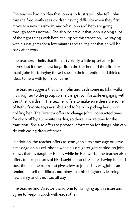The teacher had no idea that John is so frustrated. She tells John that she frequently sees children having difficulty when they first move to a new classroom, and what John and Beth are going through seems normal. She also points out that John is doing a lot of the right things with Beth to support this transition, like staying with his daughter for a few minutes and telling her that he will be back after work.

The teachers admits that Beth is typically a little upset after John leaves, but it doesn't last long. Both the teacher and the Director thank John for bringing these issues to their attention and think of ideas to help with John's concerns.

The teacher suggests that when John and Beth come in, John walks his daughter to the group so she can get comfortable engaging with the other children. The teacher offers to make sure there are some of Beth's favorite toys available and to help by picking her up or holding her. The Director offers to change John's contracted times for drop off by 15 minutes earlier, so there is more time for the transition. She also offers to provide information for things John can do with easing drop off times.

In addition, the teacher offers to send John a text message or leave a message on his cell phone when his daughter gets settled, so John knows that his daughter is okay while he is at work. The teacher also offers to take pictures of his daughter and classmates having fun and post them in the room and give a few to John. This way, John can remind himself on difficult mornings that his daughter is learning new things and is not sad all day.

The teacher and Director thank John for bringing up this issue and agree to keep in touch with each other.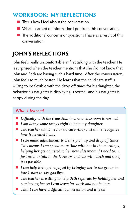### **WORKBOOK: MY REFLECTIONS**

- $\blacksquare$  This is how I feel about the conversation.
- $\blacksquare$  What I learned or information I got from this conversation.
- $\blacksquare$  The additional concerns or questions I have as a result of this conversation.

## **JOHN'S REFLECTIONS**

John feels really uncomfortable at first talking with the teacher. He is surprised when the teacher mentions that she did not know that John and Beth are having such a hard time. After the conversation, John feels so much better. He learns that the child care staff is willing to be flexible with the drop off times for his daughter, the behavior his daughter is displaying is normal, and his daughter is happy during the day.

### *What I learned*

- Difficulty with the transition to a new classroom is normal.
- *I am doing some things right to help my daughter.*
- *The teacher and Director do care--they just didn't recognize how frustrated I was.*
- *I can make adjustments to Beth's pick up and drop off times. This means I can spend more time with her in the mornings, helping her get adjusted to her new classroom if I need to. I just need to talk to the Director and she will check and see if it is possible.*
- *I can help Beth get engaged by bringing her to the group before I start to say goodbye.*
- *The teacher is willing to help Beth separate by holding her and comforting her so I can leave for work and not be late.*
- *That I can have a difficult conversation and it is ok!*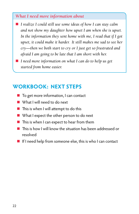#### *What I need more information about*

- *I realize I could still use some ideas of how I can stay calm and not show my daughter how upset I am when she is upset. In the information they sent home with me, I read that if I got upset, it could make it harder. It still makes me sad to see her cry—then we both start to cry or I just get so frustrated and afraid I am going to be late that I am short with her.* 
	- n *I need more information on what I can do to help us get started from home easier.*

### **WORKBOOK: NEXT STEPS**

- $\blacksquare$  To get more information, I can contact
- $\blacksquare$  What I will need to do next
- $\blacksquare$  This is when I will attempt to do this
- $\blacksquare$  What I expect the other person to do next
- $\blacksquare$  This is when I can expect to hear from them
- n This is how I will know the situation has been addressed or resolved
- $\blacksquare$  If I need help from someone else, this is who I can contact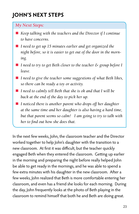## **JOHN'S NEXT STEPS**

#### *My Next Steps:*

- *Keep talking with the teachers and the Director if I continue to have concerns.*
- *I need to get up 15 minutes earlier and get organized the night before, so it is easier to get out of the door in the morning.*
- *I need to try to get Beth closer to the teacher & group before I leave.*
- *I need to give the teacher some suggestions of what Beth likes, so there can be ready a toy or activity.*
- *I need to calmly tell Beth that she is ok and that I will be back at the end of the day to pick her up.*
- *I noticed there is another parent who drops off her daughter at the same time and her daughter is also having a hard time, but that parent seems so calm! I am going to try to talk with her to find out how she does that.*

In the next few weeks, John, the classroom teacher and the Director worked together to help John's daughter with the transition to a new classroom. At first it was difficult, but the teacher quickly engaged Beth when they entered the classroom. Getting up earlier in the morning and preparing the night before really helped John be able to get ready in the mornings, and he was able to spend a few extra minutes with his daughter in the new classroom. After a few weeks, John realized that Beth is more comfortable entering her classroom, and even has a friend she looks for each morning. During the day, John frequently looks at the photo of Beth playing in the classroom to remind himself that both he and Beth are doing great.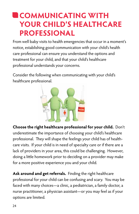## **COMMUNICATING WITH YOUR CHILD'S HEALTHCARE PROFESSIONAL**

From well baby visits to health emergencies that occur in a moment's notice, establishing good communication with your child's health care professional can ensure you understand the options and treatment for your child, and that your child's healthcare professional understands your concerns.

Consider the following when communicating with your child's healthcare professional.



**Choose the right healthcare professional for your child.** Don't underestimate the importance of choosing your child's healthcare professional. They will shape the feelings your child has of healthcare visits. If your child is in need of specialty care or if there are a lack of providers in your area, this could be challenging. However, doing a little homework prior to deciding on a provider may make for a more positive experience you and your child.

**Ask around and get referrals.** Finding the right healthcare professional for your child can be confusing and scary. You may be faced with many choices—a clinic, a pediatrician, a family doctor, a nurse practitioner, a physician assistant—or you may feel as if your options are limited.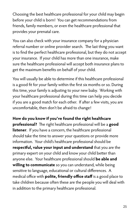Choosing the best healthcare professional for your child may begin before your child is born! You can get recommendations from friends, family members, or even the healthcare professional that provides your prenatal care.

You can also check with your insurance company for a physician referral number or online provider search. The last thing you want is to find the perfect healthcare professional, but they do not accept your insurance. If your child has more than one insurance, make sure the healthcare professional will accept both insurance plans to get the maximum benefits on behalf of your child.

You will usually be able to determine if this healthcare professional is a good fit for your family within the first six months or so. During this time, your family is adjusting to your new baby. Working with your healthcare professional during this time can help you decide if you are a good match for each other. If after a few visits, you are uncomfortable, then don't be afraid to change!

**How do you know if you've found the right healthcare professional?** The right healthcare professional will be a **good listener**. If you have a concern, the healthcare professional should take the time to answer your questions or provide more information. Your child's healthcare professional should be **respectful, value your input and understand** that you are the primary expert on your child and know your child better than anyone else. Your healthcare professional should **be able and willing to communicate** so you can understand, while being sensitive to language, educational or cultural differences. A medical office with **polite, friendly office staff** is a good place to take children because often these are the people you will deal with in addition to the primary healthcare professional.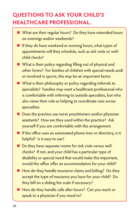## **QUESTIONS TO ASK YOUR CHILD'S HEALTHCARE PROFESSIONAL.**

- What are their regular hours? Do they have extended hours on evenings and/or weekends?
- $\blacksquare$  If they do have weekend or evening hours, what types of appointments will they schedule, such as sick visits or wellchild checks?
- **n** What is their policy regarding filling out of physical and other forms? For families of children with special needs and/ or involved in sports, this may be an important factor.
- $\blacksquare$  What is their philosophy or policy regarding referrals to specialists? Families may want a healthcare professional who is comfortable with referring to outside specialists, but who also views their role as helping to coordinate care across specialties.
- $\blacksquare$  Does the practice use nurse practitioners and/or physician assistants? How are they used within the practice? Ask yourself if you are comfortable with this arrangement.
- $\blacksquare$  If the office uses an automated phone tree or directory, is it helpful? Is it easy to use?
- $\blacksquare$  Do they have separate rooms for sick visits versus well checks? If not, and your child has a particular type of disability or special need that would make this important, would the office offer an accommodation for your child?
- $\blacksquare$  How do they handle insurance claims and billing? Do they accept the type of insurance you have for your child? Do they bill on a sliding fee scale if necessary?
- How do they handle calls after hours? Can you reach or speak to a physician if you need to?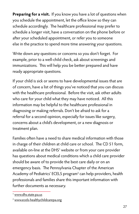**Preparing for a visit.** If you know you have a lot of questions when you schedule the appointment, let the office know so they can schedule accordingly. The healthcare professional may prefer to schedule a longer visit, have a conversation on the phone before or after your scheduled appointment, or refer you to someone else in the practice to spend more time answering your questions.

Write down any questions or concerns so you don't forget. For example, prior to a well-child check, ask about screenings and immunizations. This will help you be better prepared and have ready appropriate questions.

If your child is sick or seems to have developmental issues that are of concern, have a list of things you've noticed that you can discuss with the healthcare professional. Before the visit, ask other adults who care for your child what they may have noticed. All this information may be helpful to the healthcare professional in diagnosing or making referrals. Don't be afraid to ask for a referral for a second opinion, especially for issues like surgery, concerns about a child's development, or a new diagnosis or treatment plan.

Families often have a need to share medical information with those in charge of their children at child care or school. The CD 51 form, available on-line at the DHS<sup>1</sup> website or from your care provider has questions about medical conditions which a child care provider should be aware of to provide the best care daily or on an emergency basis. The Pennsylvania Chapter of the American Academy of Pediatrics' ECELS program<sup>2</sup> can help providers, health professionals and families share this important information with further documents as necessary.

<sup>1</sup> www.dhs.state.pa.us

<sup>2</sup> www.ecels-healthychildcarepa.org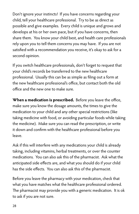Don't ignore your instincts! If you have concerns regarding your child, tell your healthcare professional. Try to be as direct as possible and give examples. Every child is unique and grows and develops at his or her own pace, but if you have concerns, then share them. You know your child best, and health care professionals rely upon you to tell them concerns you may have. If you are not satisfied with a recommendation you receive, it's okay to ask for a second opinion.

If you switch healthcare professionals, don't forget to request that your child's records be transferred to the new healthcare professional. Usually this can be as simple as filing out a form at the new healthcare professional's office, but contact both the old office and the new one to make sure.

**When a medication is prescribed.** Before you leave the office, make sure you know the dosage amounts, the times to give the medication to your child and any other special restrictions (like taking medicine with food, or avoiding particular foods while taking the medicine). Make sure you can read the prescription, or write it down and confirm with the healthcare professional before you leave.

Ask if this will interfere with any medications your child is already taking, including vitamins, herbal treatments, or over the counter medications. You can also ask this of the pharmacist. Ask what the anticipated side effects are, and what you should do if your child has the side effects. You can also ask this of the pharmacist.

Before you leave the pharmacy with your medication, check that what you have matches what the healthcare professional ordered. The pharmacist may provide you with a generic medication. It is ok to ask if you are not sure.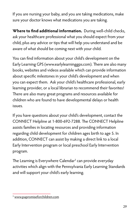If you are nursing your baby, and you are taking medications, make sure your doctor knows what medications you are taking.

**Where to find additional information.** During well-child checks, ask your healthcare professional what you should expect from your child, plus any advice or tips that will help you understand and be aware of what should be coming next with your child.

You can find information about your child's development on the Early Learning GPS (www.earlylearninggps.com). There are also many books, websites and videos available which can provide information about specific milestones in your child's development and when you can expect them. Ask your child's healthcare professional, early learning provider, or a local librarian to recommend their favorites! There are also many great programs and resources available for children who are found to have developmental delays or health issues.

If you have questions about your child's development, contact the CONNECT Helpline at 1-800-692-7288. The CONNECT Helpline assists families in locating resources and providing information regarding child development for children ages birth to age 5. In addition, CONNECT can assist by making a direct link to a local Early Intervention program or local preschool Early Intervention program.

The Learning is Everywhere Calendar<sup>3</sup> can provide everyday activities which align with the Pennsylvania Early Learning Standards and will support your child's early learning.

<sup>3</sup> www.papromiseforchildren.com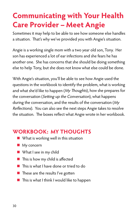## **Communicating with Your Health Care Provider – Meet Angie**

Sometimes it may help to be able to see how someone else handles a situation. That's why we've provided you with Angie's situation.

Angie is a working single mom with a two year old son, Tony. Her son has experienced a lot of ear infections and she fears he has another one. She has concerns that she should be doing something else to help Tony, but she does not know what else could be done.

With Angie's situation, you'll be able to see how Angie used the questions in the workbook to identify the problem, what is working and what she'd like to happen (My Thoughts), how she prepares for the conversation (Setting up the Conversation), what happens during the conversation, and the results of the conversation (My Reflections). You can also see the next steps Angie takes to resolve the situation. The boxes reflect what Angie wrote in her workbook.

### **WORKBOOK: MY THOUGHTS**

- $\blacksquare$  What is working well in this situation
- $My$  concern
- What I see in my child
- $\blacksquare$  This is how my child is affected
- $\blacksquare$  This is what I have done or tried to do
- $\blacksquare$  These are the results I've gotten
- $\blacksquare$  This is what I think I would like to happen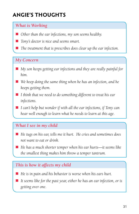## **ANGIE'S THOUGHTS**

### *What is Working*

- *Other than the ear infections, my son seems healthy.*
- *Tony's doctor is nice and seems smart.*
- *The treatment that is prescribes does clear up the ear infection.*

#### *My Concern*

- My son keeps getting ear infections and they are really painful for *him.*
- We keep doing the same thing when he has an infection, and he *keeps getting them.*
- *I think that we need to do something different to treat his ear infections.*
- *I can't help but wonder if with all the ear infections, if Tony can hear well enough to learn what he needs to learn at this age.*

### *What I see in my child*

- He tugs on his ear, tells me it hurt. He cries and sometimes does *not want to eat or drink.*
- He has a much shorter temper when his ear hurts—it seems like *the smallest thing makes him throw a temper tantrum.*

### *This is how it affects my child*

- n *He is in pain and his behavior is worse when his ears hurt.*
- It seems like for the past year, either he has an ear infection, or is *getting over one.*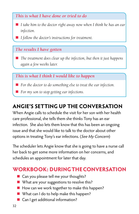### *This is what I have done or tried to do*

- *I take him to the doctor right away now when I think he has an ear infection.*
- *I follow the doctor's instructions for treatment.*

### *The results I have gotten*

■ *The treatment does clear up the infection, but then it just happens again a few weeks later.*

*This is what I think I would like to happen*

- *For the doctor to do something else to treat the ear infection.*
- For my son to stop getting ear infections.

## **ANGIE'S SETTING UP THE CONVERSATION**

When Angie calls to schedule the visit for her son with her health care professional, she tells them she thinks Tony has an ear infection. She also lets them know that this has been an ongoing issue and that she would like to talk to the doctor about other options in treating Tony's ear infections. (See My Concern)

The scheduler lets Angie know that she is going to have a nurse call her back to get some more information on her concerns, and schedules an appointment for later that day.

### **WORKBOOK: DURING THE CONVERSATION**

- $\blacksquare$  Can you please tell me your thoughts?
- $\blacksquare$  What are your suggestions to resolve this?
- $\blacksquare$  How can we work together to make this happen?
- $\blacksquare$  What can I do to help make this happen?
- Can I get additional information?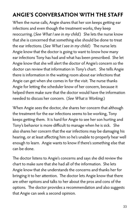## **ANGIE'S CONVERSATION WITH THE STAFF**

When the nurse calls, Angie shares that her son keeps getting ear infections and even though the treatment works, they keep reoccurring. (See What I see in my child.) She lets the nurse know that she is concerned that something else should be done to treat the ear infections. (See What I see in my child.) The nurse lets Angie know that the doctor is going to want to know how many ear infections Tony has had and what has been prescribed. She let Angie know that she will alert the doctor of Angie's concern so the doctor can review that information in Tony's chart. She tells Angie there is information in the waiting room about ear infections that Angie can get when she comes in for the visit. The nurse thanks Angie for letting the scheduler know of her concern, because it helped them make sure that the doctor would have the information needed to discuss her concern. (See What is Working.)

When Angie sees the doctor, she shares her concern that although the treatment for the ear infections seems to be working, Tony keeps getting them. It is hard for Angie to see her son hurting and Tony's behavior is more difficult to manage when he is sick. She also shares her concern that the ear infections may be damaging his hearing, or at least affecting him so he's unable to properly hear well enough to learn. Angie wants to know if there's something else that can be done.

The doctor listens to Angie's concerns and says she did review the chart to make sure that she had all of the information. She lets Angie know that she understands the concerns and thanks her for bringing it to her attention. The doctor lets Angie know that there are other options and talks to her about the pros and cons of the options. The doctor provides a recommendation and also suggests that Angie can seek a second opinion.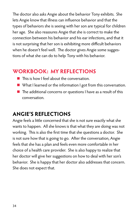The doctor also asks Angie about the behavior Tony exhibits. She lets Angie know that illness can influence behavior and that the types of behaviors she is seeing with her son are typical for children her age. She also reassures Angie that she is correct to make the connection between his behavior and his ear infections, and that it is not surprising that her son is exhibiting more difficult behaviors when he doesn't feel well. The doctor gives Angie some suggestions of what she can do to help Tony with his behavior.

### **WORKBOOK: MY REFLECTIONS**

- $\blacksquare$  This is how I feel about the conversation.
- What I learned or the information I got from this conversation.
- $\blacksquare$  The additional concerns or questions I have as a result of this conversation.

## **ANGIE'S REFLECTIONS**

Angie feels a little concerned that she is not sure exactly what she wants to happen. All she knows is that what they are doing was not working. This is also the first time that she questions a doctor. She is not sure how that is going to go. After the conversation, Angie feels that she has a plan and feels even more comfortable in her choice of a health care provider. She is also happy to realize that her doctor will give her suggestions on how to deal with her son's behavior. She is happy that her doctor also addresses that concern. She does not expect that.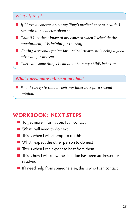#### *What I learned*

- If I have a concern about my Tony's medical care or health, I *can talk to his doctor about it.*
- *That if I let them know of my concern when I schedule the appointment, it is helpful for the staff.*
- Getting a second opinion for medical treatment is being a good *advocate for my son.*
- *There are some things I can do to help my child's behavior.*

#### *What I need more information about*

■ Who I can go to that accepts my insurance for a second *opinion.*

### **WORKBOOK: NEXT STEPS**

- $\blacksquare$  To get more information, I can contact
- $\blacksquare$  What I will need to do next
- $\blacksquare$  This is when I will attempt to do this
- $\blacksquare$  What I expect the other person to do next
- $\blacksquare$  This is when I can expect to hear from them
- $\blacksquare$  This is how I will know the situation has been addressed or resolved
- $\blacksquare$  If I need help from someone else, this is who I can contact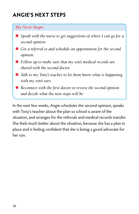## **ANGIE'S NEXT STEPS**

#### *My Next Steps:*

- *Speak with the nurse to get suggestions of where I can go for a second opinion.*
- Get a referral to and schedule an appointment for the second *opinion.*
- Follow up to make sure that my son's medical records are *shared with the second doctor.*
- *Talk to my Tony's teacher to let them know what is happening with my son's ears.*
- *Reconnect with the first doctor to review the second opinion and decide what the next steps will be.*

In the next few weeks, Angie schedules the second opinion; speaks with Tony's teacher about the plan so school is aware of the situation, and arranges for the referrals and medical records transfer. She feels much better about the situation, because she has a plan in place and is feeling confident that she is being a good advocate for her son.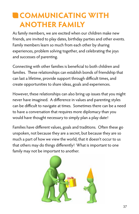## **COMMUNICATING WITH ANOTHER FAMILY**

As family members, we are excited when our children make new friends, are invited to play dates, birthday parties and other events. Family members learn so much from each other by sharing experiences, problem solving together, and celebrating the joys and successes of parenting.

Connecting with other families is beneficial to both children and families. These relationships can establish bonds of friendship that can last a lifetime, provide support through difficult times, and create opportunities to share ideas, goals and experiences.

However, these relationships can also bring up issues that you might never have imagined. A difference in values and parenting styles can be difficult to navigate at times. Sometimes there can be a need to have a conversation that requires more diplomacy than you would have thought necessary to simply plan a play date!

Families have different values, goals and traditions. Often these go unspoken, not because they are a secret, but because they are so much a part of how we view the world, that it doesn't occur to us that others may do things differently! What is important to one family may not be important to another.

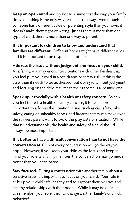**Keep an open mind** and try not to assume that the way your family does something is the only way or the correct way. Even though someone has a different value or parenting style than your own, it doesn't make them right or wrong. Just as there is more than one type of child, there is more than one way to parent.

**It is important for children to know and understand that families are different.** Different homes might have different rules, and it is important to be respectful of others.

**Address the issue without judgment and focus on your child.**  As a family, you may encounter situations with other families that you feel puts your child in a health and/or safety risk. If this is the case, then it needs to be addressed, but doing so without judgment and focusing on the child may mean the outcome is a positive one.

**Speak up, especially with a health or safety concern.** When you feel there is a health or safety concern, it is even more important to address the situation. Issues such as car safety, bike safety, eating of unhealthy foods, and firearms safety can make even the savviest parent want to avoid the play date or situation. While that is understandable, the health and safety of a child should always be most important.

**It is better to have a difficult conversation than to not have the conversation at all.** Not every conversation will go the way you hope. However, if you keep your child as the focus and keep in mind your role as a family member, the conversation may go much better than you anticipated!

**Stay focused.** During a conversation with another family about a sensitive issue, it is important to focus on your child. Your role is to keep your child safe, healthy and to support their positive and healthy relationships with their peers. While it may be difficult to remember, your role is not to change another family's or child's behavior!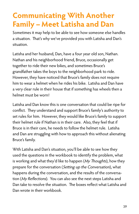## **Communicating With Another Family – Meet Latisha and Dan**

Sometimes it may help to be able to see how someone else handles a situation. That's why we've provided you with Latisha and Dan's situation.

Latisha and her husband, Dan, have a four year old son, Nathan. Nathan and his neighborhood friend, Bruce, occasionally get together to ride their new bikes, and sometimes Bruce's grandfather takes the boys to the neighborhood park to ride. However, they have noticed that Bruce's family does not require him to wear a helmet when he rides his bike. Latisha and Dan have a very clear rule in their house that if something has wheels then a helmet must be worn!

Latisha and Dan know this is one conversation that could be ripe for conflict. They understand and support Bruce's family's authority to set rules for him. However, they would like Bruce's family to support their helmet rule if Nathan is in their care. Also, they feel that if Bruce is in their care, he needs to follow the helmet rule. Latisha and Dan are struggling with how to approach this without alienating Bruce's family.

With Latisha and Dan's situation, you'll be able to see how they used the questions in the workbook to identify the problem, what is working and what they'd like to happen (My Thoughts), how they prepare for the conversation (Setting up the Conversation), what happens during the conversation, and the results of the conversation (My Reflections). You can also see the next steps Latisha and Dan take to resolve the situation. The boxes reflect what Latisha and Dan wrote in their workbook.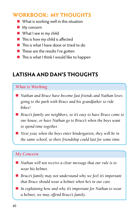### **WORKBOOK: MY THOUGHTS**

- $\blacksquare$  What is working well in this situation
- $\blacksquare$  My concern
- $\blacksquare$  What I see in my child
- $\blacksquare$  This is how my child is affected
- $\blacksquare$  This is what I have done or tried to do
- $\blacksquare$  These are the results I've gotten
- $\blacksquare$  This is what I think I would like to happen

## **LATISHA AND DAN'S THOUGHTS**

### *What is Working*

- *Nathan and Bruce have become fast friends and Nathan loves going to the park with Bruce and his grandfather to ride bikes!*
- *Bruce's family are neighbors, so it's easy to have Bruce come to our house, or have Nathan go to Bruce's when the boys want to spend time together.*
- *Next year, when the boys enter kindergarten, they will be in the same school, so their friendship could last for some time.*

### *My Concern*

- *Nathan will not receive a clear message that our rule is to wear his helmet.*
- *Bruce's family may not understand why we feel it's important that Bruce should wear a helmet when he's in our care.*
- In explaining how and why it's important for Nathan to wear *a helmet, we may offend Bruce's family.*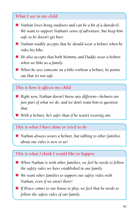### *What I see in my child*

- *Nathan loves being outdoors and can be a bit of a daredevil. We want to support Nathan's sense of adventure, but keep him safe so he doesn't get hurt.*
- *Nathan readily accepts that he should wear a helmet when he rides his bike.*
- He also accepts that both Mommy and Daddy wear a helmet *when we bike as a family.*
- When he sees someone on a bike without a helmet, he points *out that it's not safe.*

### *This is how it affects my child*

- Right now, Nathan doesn't know any different—helmets are *just part of what we do, and we don't want him to question that.*
- With a helmet, he's safer than if he wasn't wearing one.

### *This is what I have done or tried to do*

■ *Nathan always wears a helmet, but talking to other families about our rules is new to us!*

### *This is what I think I would like to happen*

- When Nathan is with other families, we feel he needs to follow *the safety rules we have established in our family.*
- We want other families to support our safety rules with *Nathan, even if we aren't there!*
- If Bruce comes to our house to play, we feel that he needs to *follow the safety rules of our family.*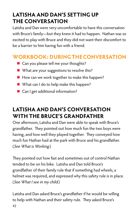## **LATISHA AND DAN'S SETTING UP THE CONVERSATION**

Latisha and Dan were very uncomfortable to have this conversation with Bruce's family—but they knew it had to happen. Nathan was so excited to play with Bruce and they did not want their discomfort to be a barrier to him having fun with a friend.

### **WORKBOOK: DURING THE CONVERSATION**

- $\blacksquare$  Can you please tell me your thoughts?
- $\blacksquare$  What are your suggestions to resolve this?
- $\blacksquare$  How can we work together to make this happen?
- $\blacksquare$  What can I do to help make this happen?
- Can I get additional information?

## **LATISHA AND DAN'S CONVERSATION WITH THE BRUCE'S GRANDFATHER**

One afternoon, Latisha and Dan were able to speak with Bruce's grandfather. They pointed out how much fun the two boys were having, and how well they played together. They conveyed how much fun Nathan had at the park with Bruce and his grandfather. (See What is Working.)

They pointed out how fast and sometimes out of control Nathan tended to be on his bike. Latisha and Dan told Bruce's grandfather of their family rule that if something had wheels, a helmet was required, and expressed why this safety rule is in place. (See What I see in my child.)

Latisha and Dan asked Bruce's grandfather if he would be willing to help with Nathan and their safety rule. They asked Bruce's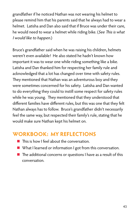grandfather if he noticed Nathan was not wearing his helmet to please remind him that his parents said that he always had to wear a helmet. Latisha and Dan also said that if Bruce was under their care, he would need to wear a helmet while riding bike. (See This is what I would like to happen.)

Bruce's grandfather said when he was raising his children, helmets weren't even available! He also stated he hadn't known how important it was to wear one while riding something like a bike. Latisha and Dan thanked him for respecting her family rule and acknowledged that a lot has changed over time with safety rules. They mentioned that Nathan was an adventurous boy and they were sometimes concerned for his safety. Latisha and Dan wanted to do everything they could to instill some respect for safety rules while he was young. They mentioned that they understood that different families have different rules, but this was one that they felt Nathan always has to follow. Bruce's grandfather didn't necessarily feel the same way, but respected their family's rule, stating that he would make sure Nathan kept his helmet on.

### **WORKBOOK: MY REFLECTIONS**

- $\blacksquare$  This is how I feel about the conversation.
- What I learned or information I got from this conversation.
- $\blacksquare$  The additional concerns or questions I have as a result of this conversation.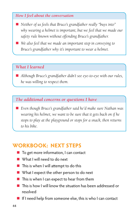#### *How I feel about the conversation*

- *Neither of us feels that Bruce's grandfather really "buys into" why wearing a helmet is important, but we feel that we made our safety rule known without offending Bruce's grandfather.*
- We also feel that we made an important step in conveying to *Bruce's grandfather why it's important to wear a helmet.*

#### *What I learned*

■ Although Bruce's grandfather didn't see eye-to-eye with our rules, *he was willing to respect them.*

#### *The additional concerns or questions I have*

■ Even though Bruce's grandfather said he'd make sure Nathan was *wearing his helmet, we want to be sure that it gets back on if he stops to play at the playground or stops for a snack, then returns to his bike.*

### **WORKBOOK: NEXT STEPS**

- $\blacksquare$  To get more information, I can contact
- $\blacksquare$  What I will need to do next
- $\blacksquare$  This is when I will attempt to do this
- $\blacksquare$  What I expect the other person to do next
- $\blacksquare$  This is when I can expect to hear from them
- $\blacksquare$  This is how I will know the situation has been addressed or resolved
- $\blacksquare$  If I need help from someone else, this is who I can contact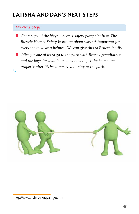## **LATISHA AND DAN'S NEXT STEPS**

### *My Next Steps:*

- *Get a copy of the bicycle helmet safety pamphlet from The Bicycle Helmet Safety Institute5 about why it's important for everyone to wear a helmet. We can give this to Bruce's family.*
- Offer for one of us to go to the park with Bruce's grandfather *and the boys for awhile to show how to get the helmet on properly after it's been removed to play at the park.*



<sup>5</sup> http://www.helmets.or/pamget.htm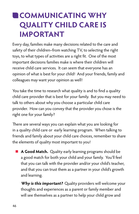## **COMMUNICATING WHY QUALITY CHILD CARE IS IMPORTANT**

Every day, families make many decisions related to the care and safety of their children–from watching TV, to selecting the right toys, to what types of activities are a right fit. One of the most important decisions families make is where their children will receive child care services. It can seem that everyone has an opinion of what is best for your child! And your friends, family and colleagues may want your opinion as well!

You take the time to research what quality is and to find a quality child care provider that is best for your family. But you may need to talk to others about why you choose a particular child care provider. How can you convey that the provider you chose is the right one for your family?

There are several ways you can explain what you are looking for in a quality child care or early learning program. When talking to friends and family about your child care choices, remember to share the elements of quality most important to you!

**A Good Match.** Quality early learning programs should be a good match for both your child and your family. You'll feel that you can talk with the provider and/or your child's teacher, and that you can trust them as a partner in your child's growth and learning.

 **Why is this important?** Quality providers will welcome your thoughts and experiences as a parent or family member and will see themselves as a partner to help your child grow and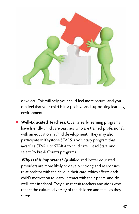

develop. This will help your child feel more secure, and you can feel that your child is in a positive and supporting learning environment.

**n** Well-Educated Teachers: Quality early learning programs have friendly child care teachers who are trained professionals with an education in child development. They may also participate in Keystone STARS, a voluntary program that awards a STAR 1 to STAR 4 to child care, Head Start, and select PA Pre-K Counts programs.

 **Why is this important?** Qualified and better educated providers are more likely to develop strong and responsive relationships with the child in their care, which affects each child's motivation to learn, interact with their peers, and do well later in school. They also recruit teachers and aides who reflect the cultural diversity of the children and families they serve.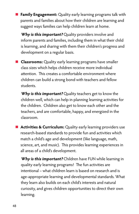**Family Engagement:** Quality early learning programs talk with parents and families about how their children are learning and suggest ways families can help children learn at home.

 **Why is this important?** Quality providers involve and inform parents and families, including them in what their child is learning, and sharing with them their children's progress and development on a regular basis.

**n** Classrooms: Quality early learning programs have smaller class sizes which helps children receive more individual attention. This creates a comfortable environment where children can build a strong bond with teachers and fellow students.

 **Why is this important?** Quality teachers get to know the children well, which can help in planning learning activities for the children. Children also get to know each other and the teachers, and are comfortable, happy, and energized in the classroom.

**n** Activities & Curriculum: Quality early learning providers use research-based standards to provide fun and activities which match a child's age and development (like language, math, science, art, and music). This provides learning experiences in all areas of a child's development.

 **Why is this important?** Children have FUN while learning in quality early learning programs! The fun activities are intentional – what children learn is based on research and is age-appropriate learning and developmental standards. What they learn also builds on each child's interests and natural curiosity, and gives children opportunities to direct their own learning.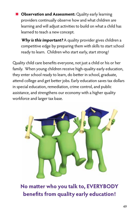**Observation and Assessment:** Quality early learning providers continually observe how and what children are learning and will adjust activities to build on what a child has learned to teach a new concept.

**Why is this important?** A quality provider gives children a competitive edge by preparing them with skills to start school ready to learn. Children who start early, start strong!

Quality child care benefits everyone, not just a child or his or her family. When young children receive high-quality early education, they enter school ready to learn, do better in school, graduate, attend college and get better jobs. Early education saves tax dollars in special education, remediation, crime control, and public assistance, and strengthens our economy with a higher quality workforce and larger tax base.



**No matter who you talk to, EVERYBODY benefits from quality early education!**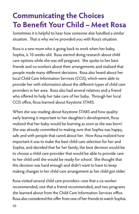## **Communicating the Choices To Benefit Your Child – Meet Rosa**

Sometimes it is helpful to hear how someone else handled a similar situation. That is why we've provided you with Rosa's situation.

Rosa is a new mom who is going back to work when her baby, Sophia, is 10 weeks old. Rosa started doing research about child care options while she was still pregnant. She spoke to her best friends and co-workers about their arrangements and realized that people made many different decisions. Rosa also heard about her local Child Care Information Services (CCIS), which were able to provide her with information about the different types of child care providers in her area. Rosa also had several relatives and a friend who offered to help her take care of her baby. Through her local CCIS office, Rosa learned about Keystone STARS.

When she was reading about Keystone STARS and how quality early learning is important to her daughter's development, Rosa realized that her baby would be learning as soon as she was born! She was already committed to making sure that Sophia was happy, safe and with people that cared about her. Now Rosa realized how important it was to make the best child care selection for her and Sophia, and decided that for her family, the best decision would be to choose a child care provider that would be able to provide care to her child until she would be ready for school. She thought that this decision was hard enough and didn't want to have to keep making changes in her child care arrangement as her child got older.

Rosa visited several child care providers--one that a co-worker recommended, one that a friend recommended, and two programs she learned about from the Child Care Information Services office. Rosa also considered the offer from one of her friends to watch Sophia.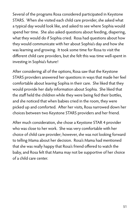Several of the programs Rosa considered participated in Keystone STARS. When she visited each child care provider, she asked what a typical day would look like, and asked to see where Sophia would spend her time. She also asked questions about feeding, diapering, what they would do if Sophia cried. Rosa had questions about how they would communicate with her about Sophia's day and how she was learning and growing. It took some time for Rosa to visit the different child care providers, but she felt this was time well-spent in investing in Sophia's future!

After considering all of the options, Rosa saw that the Keystone STARS providers answered her questions in ways that made her feel comfortable about leaving Sophia in their care. She liked that they would provide her daily information about Sophia. She liked that the staff held the children while they were being fed their bottles, and she noticed that when babies cried in the room, they were picked up and comforted. After her visits, Rosa narrowed down her choices between two Keystone STARS providers and her friend.

After much consideration, she chose a Keystone STAR 4 provider who was close to her work. She was very comfortable with her choice of child care provider; however, she was not looking forward to telling Mama about her decision. Rosa's Mama had mentioned that she was really happy that Rosa's friend offered to watch the baby, and Rosa felt that Mama may not be supportive of her choice of a child care center.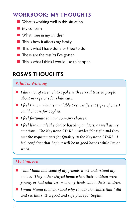### **WORKBOOK: MY THOUGHTS**

- $\blacksquare$  What is working well in this situation
- $My$  concern
- $\blacksquare$  What I see in my children
- $\blacksquare$  This is how it affects my family
- $\blacksquare$  This is what I have done or tried to do
- $\blacksquare$  These are the results I've gotten
- $\blacksquare$  This is what I think I would like to happen

## **ROSA'S THOUGHTS**

### *What is Working*

- *I did a lot of research & spoke with several trusted people about my options for child care.*
- *I feel I know what is available & the different types of care I could choose for Sophia.*
- *I feel fortunate to have so many choices!*
- *I feel like I made the choice based upon facts, as well as my emotions. The Keystone STARS provider felt right and they met the requirements for Quality in the Keystone STARS. I feel confident that Sophia will be in good hands while I'm at work.*

### *My Concern*

- *That Mama and some of my friends won't understand my choice. They either stayed home when their children were young, or had relatives or other friends watch their children.*
- n *I want Mama to understand why I made the choice that I did and see that's it's a good and safe place for Sophia.*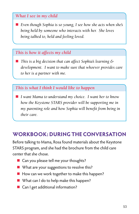### *What I see in my child*

■ *Even though Sophia is so young, I see how she acts when she's being held by someone who interacts with her. She loves being talked to, held and feeling loved.*

### *This is how it affects my child*

■ *This is a big decision that can affect Sophia's learning & development. I want to make sure that whoever provides care to her is a partner with me.*

### *This is what I think I would like to happen*

■ *I want Mama to understand my choice. I want her to know how the Keystone STARS provider will be supporting me in my parenting role and how Sophia will benefit from being in their care.*

### **WORKBOOK: DURING THE CONVERSATION**

Before talking to Mama, Rosa found materials about the Keystone STARS program, and she had the brochure from the child care center that she chose.

- $\blacksquare$  Can you please tell me your thoughts?
- $\blacksquare$  What are your suggestions to resolve this?
- $\blacksquare$  How can we work together to make this happen?
- $\blacksquare$  What can I do to help make this happen?
- Can I get additional information?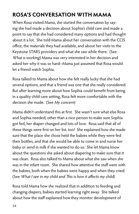## **ROSA'S CONVERSATION WITH MAMA**

When Rosa visited Mama, she started the conversation by saying she had made a decision about Sophia's child care and made a point to say that she had considered many options and had thought about it a lot. She told Mama about her conversation with the CCIS office, the materials they had available, and about her visits to the Keystone STARS providers and what she saw while there. (See What is working) Mama was very interested in her decision and asked her why it was so hard--Mama just assumed that Rosa would let a friend watch Sophia.

Rosa talked to Mama about how she felt really lucky that she had several options, and that a friend was one that she really considered. But after learning more about how Sophia could benefit from being in a quality child care setting, Rosa felt more comfortable with the decision she made. (See My concern)

Mama didn't understand this at first. She wasn't sure what else Rosa and Sophia needed, other than a nice person to make sure Sophia got fed, her diaper changed and lots of love. Rosa said that all of these things were first on her list, too! She explained how she made sure that the place she chose held the babies while they were fed their bottles, and that she would be able to come in and nurse her baby or send in milk if she wanted to do so. She let Mama know about the questions she asked about diapering to make sure that it was clean. Rosa also talked to Mama about what she saw when she was in the infant room. She shared how attentive the staff were with the babies, both when the babies were happy and when they cried. (See What I see in my child and This is how it affects my child)

Rosa told Mama how she realized that in addition to feeding and changing diapers, babies started learning right away. She talked about how the staff explained how they monitor development of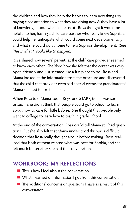the children and how they help the babies to learn new things by paying close attention to what they are doing now & they have a lot of knowledge about what comes next. Rosa thought it would be helpful to her, having a child care partner who really knew Sophia & could help her anticipate what would come next developmentally and what she could do at home to help Sophia's development. (See This is what I would like to happen)

Rosa shared how several parents at the child care provider seemed to know each other. She liked how she felt that the center was very open, friendly and just seemed like a fun place to be. Rosa and Mama looked at the information from the brochure and discovered that the child care provider even had special events for grandparents! Mama seemed to like that a lot.

When Rosa told Mama about Keystone STARS, Mama was surprised—she didn't think that people could go to school to learn about how to care for little babies. She thought that people only went to college to learn how to teach in grade school.

At the end of the conversation, Rosa could tell Mama still had questions. But she also felt that Mama understood this was a difficult decision that Rosa really thought about before making. Rosa realized that both of them wanted what was best for Sophia, and she felt much better after she had the conversation.

### **WORKBOOK: MY REFLECTIONS**

- $\blacksquare$  This is how I feel about the conversation.
- $\blacksquare$  What I learned or information I got from this conversation.
- $\blacksquare$  The additional concerns or questions I have as a result of this conversation.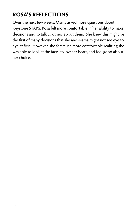## **ROSA'S REFLECTIONS**

Over the next few weeks, Mama asked more questions about Keystone STARS. Rosa felt more comfortable in her ability to make decisions and to talk to others about them. She knew this might be the first of many decisions that she and Mama might not see eye to eye at first. However, she felt much more comfortable realizing she was able to look at the facts, follow her heart, and feel good about her choice.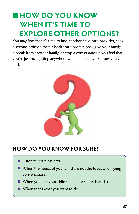## **HOW DO YOU KNOW WHEN IT'S TIME TO EXPLORE OTHER OPTIONS?**

You may find that it's time to find another child care provider, seek a second opinion from a healthcare professional, give your family a break from another family, or stop a conversation if you feel that you're just not getting anywhere with all the conversations you've had.



### **HOW DO YOU KNOW FOR SURE?**

- $\blacksquare$  Listen to your instincts
- $\blacksquare$  When the needs of your child are not the focus of ongoing conversations
- $\blacksquare$  When you feel your child's health or safety is at risk
- **Now When that's what you want to do**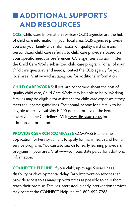## **ADDITIONAL SUPPORTS AND RESOURCES**

**CCIS:** Child Care Information Services (CCIS) agencies are the hub of child care information in your local area. CCIS agencies provide you and your family with information on quality child care and personalized child care referrals to child care providers based on your specific needs or preferences. CCIS agencies also administer the Child Care Works subsidized child care program. For all of your child care questions and needs, contact the CCIS agency for your local area. Visit www.dhs.state.pa.us for additional information.

**CHILD CARE WORKS:** If you are concerned about the cost of quality child care, Child Care Works may be able to help. Working families may be eligible for assistance for child care expenses if they meet the income guidelines. The annual income for a family to be eligible to receive subsidy is 200 percent or less of the Federal Poverty Income Guidelines. Visit www.dhs.state.pa.us for additional information.

**PROVIDER SEARCH (COMPASS):** COMPASS is an online application for Pennsylvanians to apply for many health and human service programs. You can also search for early learning providers/ programs in your area. Visit www.compass.state.pa.us for additional information.

**CONNECT HELPLINE:** If your child, up to age 5 years, has a disability or developmental delay, Early Intervention services can provide access to as many opportunities as possible to help them reach their promise. Families interested in early intervention services may contact the CONNECT Helpline at 1-800-692-7288.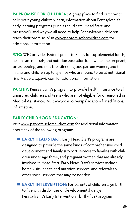**PA PROMISE FOR CHILDREN:** A great place to find out how to help your young children learn, information about Pennsylvania's early learning programs (such as child care, Head Start, and preschool), and why we all need to help Pennsylvania's children reach their promise. Visit www.papromiseforchildren.com for additional information.

**WIC:** WIC provides Federal grants to States for supplemental foods, health care referrals, and nutrition education for low-income pregnant, breastfeeding, and non-breastfeeding postpartum women, and to infants and children up to age five who are found to be at nutritional risk. Visit www.pawic.com for additional information.

**PA CHIP:** Pennsylvania's program to provide health insurance to all uninsured children and teens who are not eligible for or enrolled in Medical Assistance. Visit www.chipcoverspakids.com for additional information.

### **EARLY CHILDHOOD EDUCATION:**

Visit www.papromiseforchildren.com for additional information about any of the following programs.

- **EARLY HEAD START:** Early Head Start's programs are designed to provide the same kinds of comprehensive child development and family support services to families with children under age three, and pregnant women that are already involved in Head Start. Early Head Start's services include home visits, health and nutrition services, and referrals to other social services that may be needed.
- **EARLY INTERVENTION:** For parents of children ages birth to five with disabilities or developmental delays, Pennsylvania's Early Intervention (birth- five) program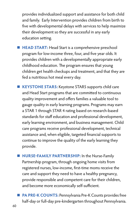provides individualized support and assistance for both child and family. Early Intervention provides children from birth to five with developmental delays with services to help maximize their development so they are successful in any early education setting.

■ HEAD START: Head Start is a comprehensive preschool program for low-income three, four, and five year olds. It provides children with a developmentally appropriate early childhood education. The program ensures that young children get health checkups and treatment, and that they are fed a nutritious hot meal every day.

**EXEYSTONE STARS:** Keystone STARS supports child care and Head Start programs that are committed to continuous quality improvement and offers families a valuable tool to gauge quality in early learning programs. Programs may earn a STAR 1 through STAR 4 rating based on research-based standards for staff education and professional development, early learning environment, and business management. Child care programs receive professional development, technical assistance and, when eligible, targeted financial supports to continue to improve the quality of the early learning they provide.

**NURSE-FAMILY PARTNERSHIP:** In the Nurse-Family Partnership program, through ongoing home visits from registered nurses, low-income, first-time moms receive the care and support they need to have a healthy pregnancy, provide responsible and competent care for their children, and become more economically self-sufficient.

**PA PRE-K COUNTS: Pennsylvania Pre-K Counts provides free** half-day or full-day pre-kindergarten throughout Pennsylvania.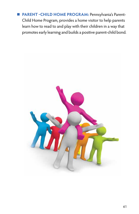**n** PARENT - CHILD HOME PROGRAM: Pennsylvania's Parent-Child Home Program, provides a home visitor to help parents learn how to read to and play with their children in a way that promotes early learning and builds a positive parent-child bond.

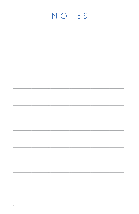## NOTES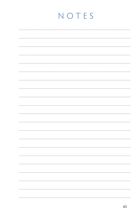## NOTES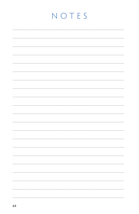## NOTES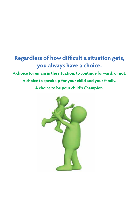## **Regardless of how difficult a situation gets, you always have a choice. A choice to remain in the situation, to continue forward, or not. A choice to speak up for your child and your family. A choice to be your child's Champion.**